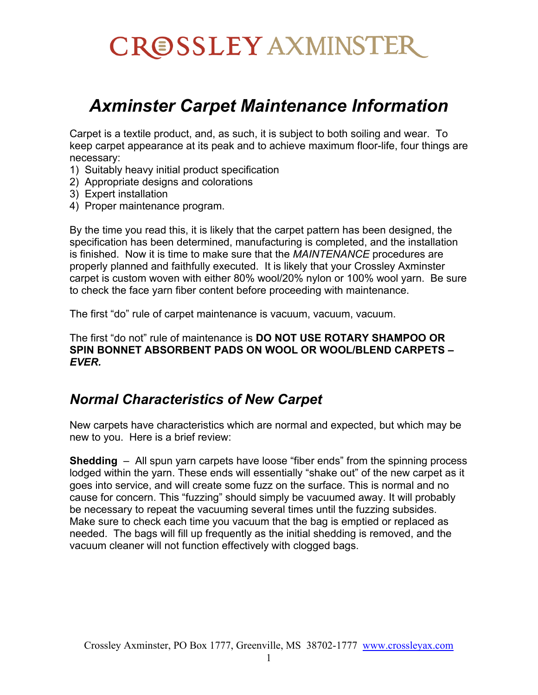# CROSSLEY AXMINSTER

## *Axminster Carpet Maintenance Information*

Carpet is a textile product, and, as such, it is subject to both soiling and wear. To keep carpet appearance at its peak and to achieve maximum floor-life, four things are necessary:

- 1) Suitably heavy initial product specification
- 2) Appropriate designs and colorations
- 3) Expert installation
- 4) Proper maintenance program.

By the time you read this, it is likely that the carpet pattern has been designed, the specification has been determined, manufacturing is completed, and the installation is finished. Now it is time to make sure that the *MAINTENANCE* procedures are properly planned and faithfully executed. It is likely that your Crossley Axminster carpet is custom woven with either 80% wool/20% nylon or 100% wool yarn. Be sure to check the face yarn fiber content before proceeding with maintenance.

The first "do" rule of carpet maintenance is vacuum, vacuum, vacuum.

The first "do not" rule of maintenance is **DO NOT USE ROTARY SHAMPOO OR SPIN BONNET ABSORBENT PADS ON WOOL OR WOOL/BLEND CARPETS –** *EVER.*

## *Normal Characteristics of New Carpet*

New carpets have characteristics which are normal and expected, but which may be new to you. Here is a brief review:

**Shedding** – All spun yarn carpets have loose "fiber ends" from the spinning process lodged within the yarn. These ends will essentially "shake out" of the new carpet as it goes into service, and will create some fuzz on the surface. This is normal and no cause for concern. This "fuzzing" should simply be vacuumed away. It will probably be necessary to repeat the vacuuming several times until the fuzzing subsides. Make sure to check each time you vacuum that the bag is emptied or replaced as needed. The bags will fill up frequently as the initial shedding is removed, and the vacuum cleaner will not function effectively with clogged bags.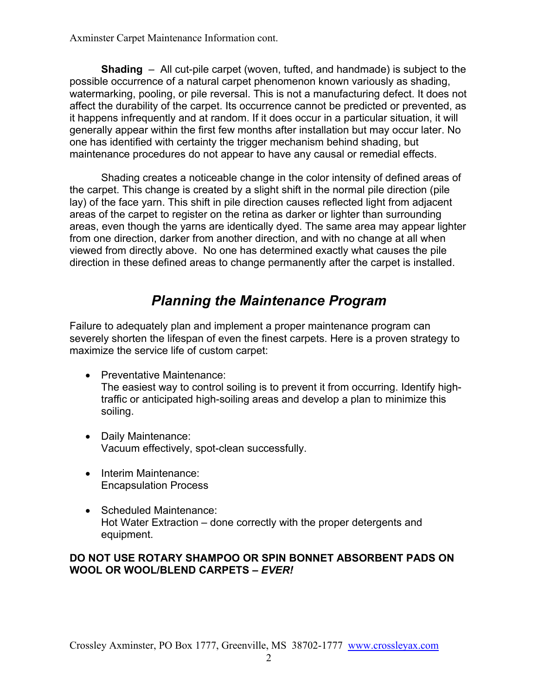**Shading** – All cut-pile carpet (woven, tufted, and handmade) is subject to the possible occurrence of a natural carpet phenomenon known variously as shading, watermarking, pooling, or pile reversal. This is not a manufacturing defect. It does not affect the durability of the carpet. Its occurrence cannot be predicted or prevented, as it happens infrequently and at random. If it does occur in a particular situation, it will generally appear within the first few months after installation but may occur later. No one has identified with certainty the trigger mechanism behind shading, but maintenance procedures do not appear to have any causal or remedial effects.

Shading creates a noticeable change in the color intensity of defined areas of the carpet. This change is created by a slight shift in the normal pile direction (pile lay) of the face yarn. This shift in pile direction causes reflected light from adjacent areas of the carpet to register on the retina as darker or lighter than surrounding areas, even though the yarns are identically dyed. The same area may appear lighter from one direction, darker from another direction, and with no change at all when viewed from directly above. No one has determined exactly what causes the pile direction in these defined areas to change permanently after the carpet is installed.

## *Planning the Maintenance Program*

Failure to adequately plan and implement a proper maintenance program can severely shorten the lifespan of even the finest carpets. Here is a proven strategy to maximize the service life of custom carpet:

- Preventative Maintenance: The easiest way to control soiling is to prevent it from occurring. Identify hightraffic or anticipated high-soiling areas and develop a plan to minimize this soiling.
- Daily Maintenance: Vacuum effectively, spot-clean successfully.
- Interim Maintenance: Encapsulation Process
- Scheduled Maintenance: Hot Water Extraction – done correctly with the proper detergents and equipment.

#### **DO NOT USE ROTARY SHAMPOO OR SPIN BONNET ABSORBENT PADS ON WOOL OR WOOL/BLEND CARPETS –** *EVER!*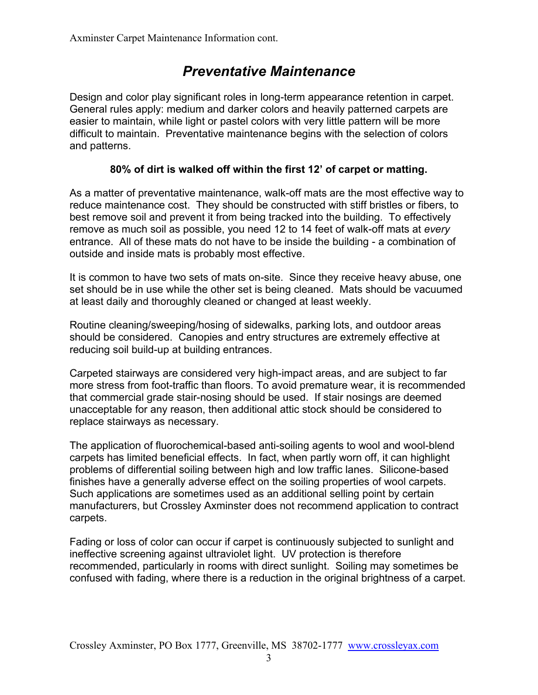## *Preventative Maintenance*

Design and color play significant roles in long-term appearance retention in carpet. General rules apply: medium and darker colors and heavily patterned carpets are easier to maintain, while light or pastel colors with very little pattern will be more difficult to maintain. Preventative maintenance begins with the selection of colors and patterns.

#### **80% of dirt is walked off within the first 12' of carpet or matting.**

As a matter of preventative maintenance, walk-off mats are the most effective way to reduce maintenance cost. They should be constructed with stiff bristles or fibers, to best remove soil and prevent it from being tracked into the building. To effectively remove as much soil as possible, you need 12 to 14 feet of walk-off mats at *every* entrance. All of these mats do not have to be inside the building - a combination of outside and inside mats is probably most effective.

It is common to have two sets of mats on-site. Since they receive heavy abuse, one set should be in use while the other set is being cleaned. Mats should be vacuumed at least daily and thoroughly cleaned or changed at least weekly.

Routine cleaning/sweeping/hosing of sidewalks, parking lots, and outdoor areas should be considered. Canopies and entry structures are extremely effective at reducing soil build-up at building entrances.

Carpeted stairways are considered very high-impact areas, and are subject to far more stress from foot-traffic than floors. To avoid premature wear, it is recommended that commercial grade stair-nosing should be used. If stair nosings are deemed unacceptable for any reason, then additional attic stock should be considered to replace stairways as necessary.

The application of fluorochemical-based anti-soiling agents to wool and wool-blend carpets has limited beneficial effects. In fact, when partly worn off, it can highlight problems of differential soiling between high and low traffic lanes. Silicone-based finishes have a generally adverse effect on the soiling properties of wool carpets. Such applications are sometimes used as an additional selling point by certain manufacturers, but Crossley Axminster does not recommend application to contract carpets.

Fading or loss of color can occur if carpet is continuously subjected to sunlight and ineffective screening against ultraviolet light. UV protection is therefore recommended, particularly in rooms with direct sunlight. Soiling may sometimes be confused with fading, where there is a reduction in the original brightness of a carpet.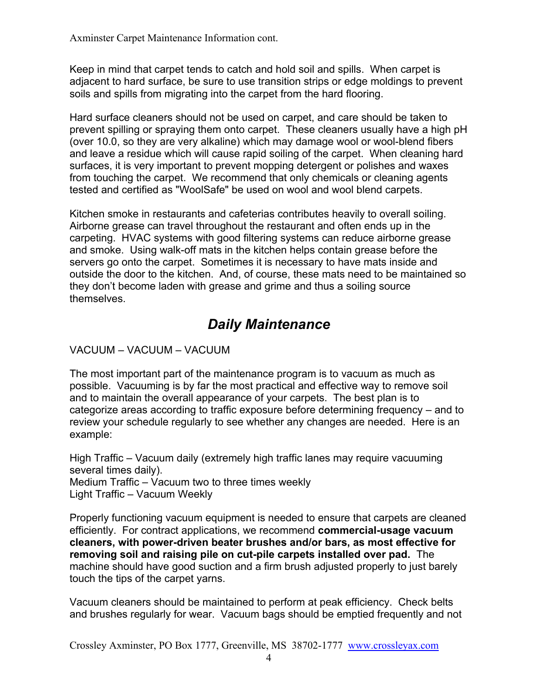Keep in mind that carpet tends to catch and hold soil and spills. When carpet is adjacent to hard surface, be sure to use transition strips or edge moldings to prevent soils and spills from migrating into the carpet from the hard flooring.

Hard surface cleaners should not be used on carpet, and care should be taken to prevent spilling or spraying them onto carpet. These cleaners usually have a high pH (over 10.0, so they are very alkaline) which may damage wool or wool-blend fibers and leave a residue which will cause rapid soiling of the carpet. When cleaning hard surfaces, it is very important to prevent mopping detergent or polishes and waxes from touching the carpet. We recommend that only chemicals or cleaning agents tested and certified as "WoolSafe" be used on wool and wool blend carpets.

Kitchen smoke in restaurants and cafeterias contributes heavily to overall soiling. Airborne grease can travel throughout the restaurant and often ends up in the carpeting. HVAC systems with good filtering systems can reduce airborne grease and smoke. Using walk-off mats in the kitchen helps contain grease before the servers go onto the carpet. Sometimes it is necessary to have mats inside and outside the door to the kitchen. And, of course, these mats need to be maintained so they don't become laden with grease and grime and thus a soiling source themselves.

## *Daily Maintenance*

VACUUM – VACUUM – VACUUM

The most important part of the maintenance program is to vacuum as much as possible. Vacuuming is by far the most practical and effective way to remove soil and to maintain the overall appearance of your carpets. The best plan is to categorize areas according to traffic exposure before determining frequency – and to review your schedule regularly to see whether any changes are needed. Here is an example:

High Traffic – Vacuum daily (extremely high traffic lanes may require vacuuming several times daily).

Medium Traffic – Vacuum two to three times weekly Light Traffic – Vacuum Weekly

Properly functioning vacuum equipment is needed to ensure that carpets are cleaned efficiently. For contract applications, we recommend **commercial-usage vacuum cleaners, with power-driven beater brushes and/or bars, as most effective for removing soil and raising pile on cut-pile carpets installed over pad.** The machine should have good suction and a firm brush adjusted properly to just barely touch the tips of the carpet yarns.

Vacuum cleaners should be maintained to perform at peak efficiency. Check belts and brushes regularly for wear. Vacuum bags should be emptied frequently and not

Crossley Axminster, PO Box 1777, Greenville, MS 38702-1777 [www.crossleyax.com](http://www.crossleyax.com/)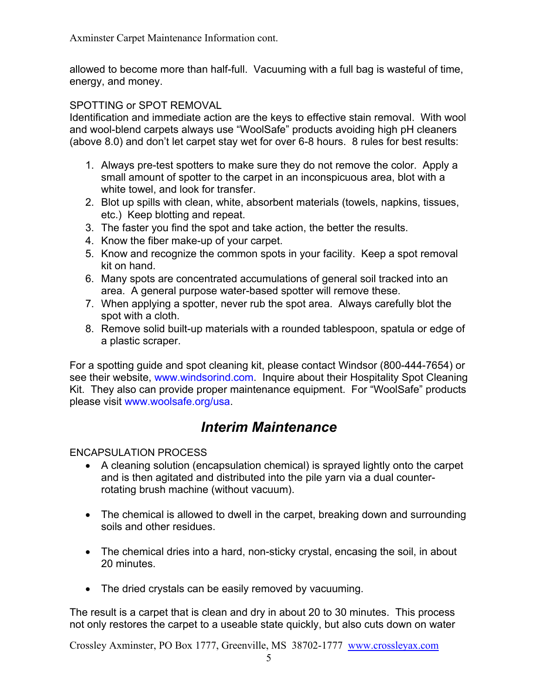allowed to become more than half-full. Vacuuming with a full bag is wasteful of time, energy, and money.

#### SPOTTING or SPOT REMOVAL

Identification and immediate action are the keys to effective stain removal. With wool and wool-blend carpets always use "WoolSafe" products avoiding high pH cleaners (above 8.0) and don't let carpet stay wet for over 6-8 hours. 8 rules for best results:

- 1. Always pre-test spotters to make sure they do not remove the color. Apply a small amount of spotter to the carpet in an inconspicuous area, blot with a white towel, and look for transfer.
- 2. Blot up spills with clean, white, absorbent materials (towels, napkins, tissues, etc.) Keep blotting and repeat.
- 3. The faster you find the spot and take action, the better the results.
- 4. Know the fiber make-up of your carpet.
- 5. Know and recognize the common spots in your facility. Keep a spot removal kit on hand.
- 6. Many spots are concentrated accumulations of general soil tracked into an area. A general purpose water-based spotter will remove these.
- 7. When applying a spotter, never rub the spot area. Always carefully blot the spot with a cloth.
- 8. Remove solid built-up materials with a rounded tablespoon, spatula or edge of a plastic scraper.

For a spotting guide and spot cleaning kit, please contact Windsor (800-444-7654) or see their website, [www.windsorind.com.](http://www.windsorind.com/) Inquire about their Hospitality Spot Cleaning Kit. They also can provide proper maintenance equipment. For "WoolSafe" products please visit [www.woolsafe.org/usa.](http://www.woolsafe.org/usa)

## *Interim Maintenance*

ENCAPSULATION PROCESS

- A cleaning solution (encapsulation chemical) is sprayed lightly onto the carpet and is then agitated and distributed into the pile yarn via a dual counterrotating brush machine (without vacuum).
- The chemical is allowed to dwell in the carpet, breaking down and surrounding soils and other residues.
- The chemical dries into a hard, non-sticky crystal, encasing the soil, in about 20 minutes.
- The dried crystals can be easily removed by vacuuming.

The result is a carpet that is clean and dry in about 20 to 30 minutes. This process not only restores the carpet to a useable state quickly, but also cuts down on water

Crossley Axminster, PO Box 1777, Greenville, MS 38702-1777 [www.crossleyax.com](http://www.crossleyax.com/)